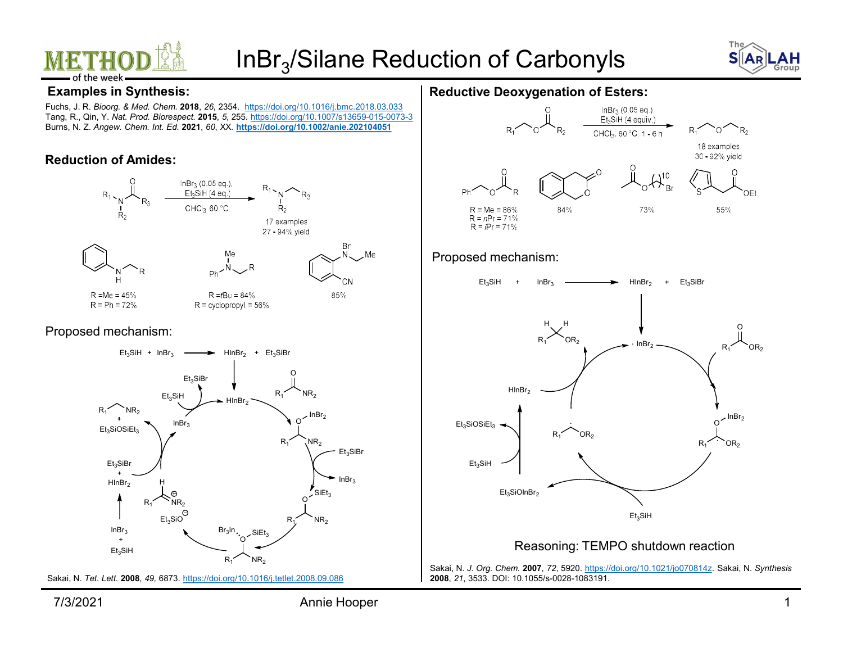



### Examples in Synthesis:

Fuchs, J. R. Bioorg. & Med. Chem. 2018, 26, 2354. https://doi.org/10.1016/j.bmc.2018.03.033 Tang, R., Qin, Y. Nat. Prod. Biorespect. 2015, 5, 255. https://doi.org/10.1007/s13659-015-0073-3 Burns, N. Z. Angew. Chem. Int. Ed. 2021, 60, XX. https://doi.org/10.1002/anie.202104051

### Reduction of Amides:



 $Et<sub>3</sub>SiH + InBr<sub>3</sub>$   $\longrightarrow$   $HInBr<sub>2</sub> + Et<sub>3</sub>SiBr$ 

Et<sub>3</sub>SiBr

 $H_{\text{HInBr}_2}$   $H_{\text{HInBr}_2}$   $H_{\text{HInBr}_2}$ 

 $InBr_3$  **Br**<sub>3</sub>ln,  $SiEt_2$ 

Sakai, N. Tet. Lett. 2008, 49, 6873. https://doi.org/10.1016/j.tetlet.2008.09.086

### Reductive Deoxygenation of Esters:



#### Proposed mechanism:



#### Reasoning: TEMPO shutdown reaction

Sakai, N. J. Org. Chem. 2007, 72, 5920. https://doi.org/10.1021/jo070814z. Sakai, N. Synthesis 2008, 21, 3533. DOI: 10.1055/s-0028-1083191.

In,  $s_{\text{lift}}$  /  $\qquad$  |

 $R_1$  NR<sub>2</sub> and  $R_2$  NR<sub>2</sub>

Here  $\int$   $\sim$   $\ln$ Br<sub>3</sub>

 $Et_3$ SiH<br>InBr<sub>3</sub> HInBr<sub>2</sub>  $N$ <sup>InBr</sup><sub>2</sub><br>O<sup>1</sup> InBr<sub>2</sub>

 $R_1$  NR<sub>2</sub> P

 $E$ t<sub>3</sub>SiH  $\qquad \qquad \longrightarrow \qquad \qquad$ 

 $H \cap Br_2 \longrightarrow$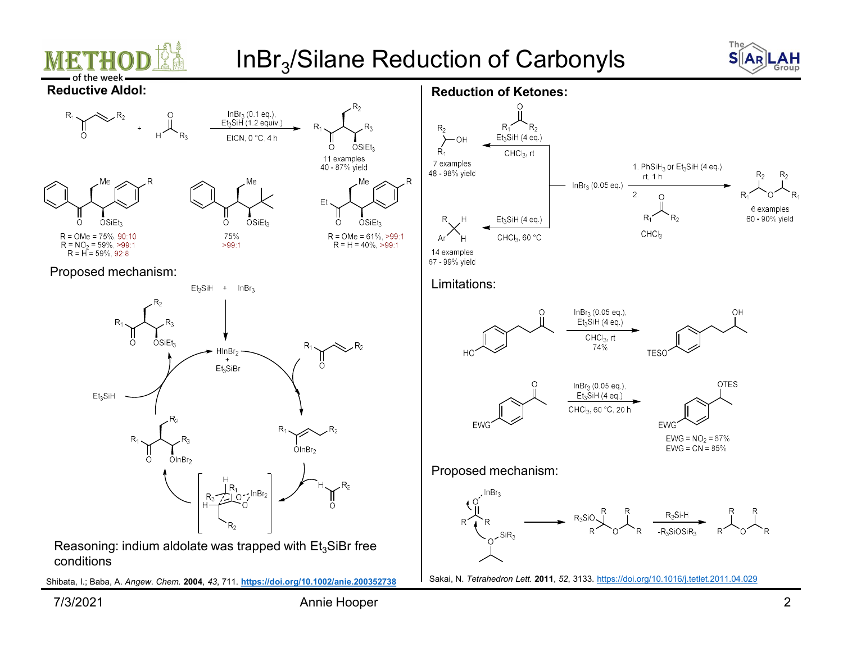



 $R_2$ 

6 examples 60 - 90% yield

 $R_1$ 

 $R_2$ 

 $R_4$ 







### Proposed mechanism:



 $InBr_3 (0.1 eq.),$ <br>Et<sub>3</sub>SiH (1.2 equiv.)

conditions

Shibata, I.; Baba, A. Angew. Chem. 2004, 43, 711. https://doi.org/10.1002/anie.200352738 Sakai, N. Tetrahedron Lett. 2011, 52, 3133. https://doi.org/10.1016/j.tetlet.2011.04.029



Reduction of Ketones:

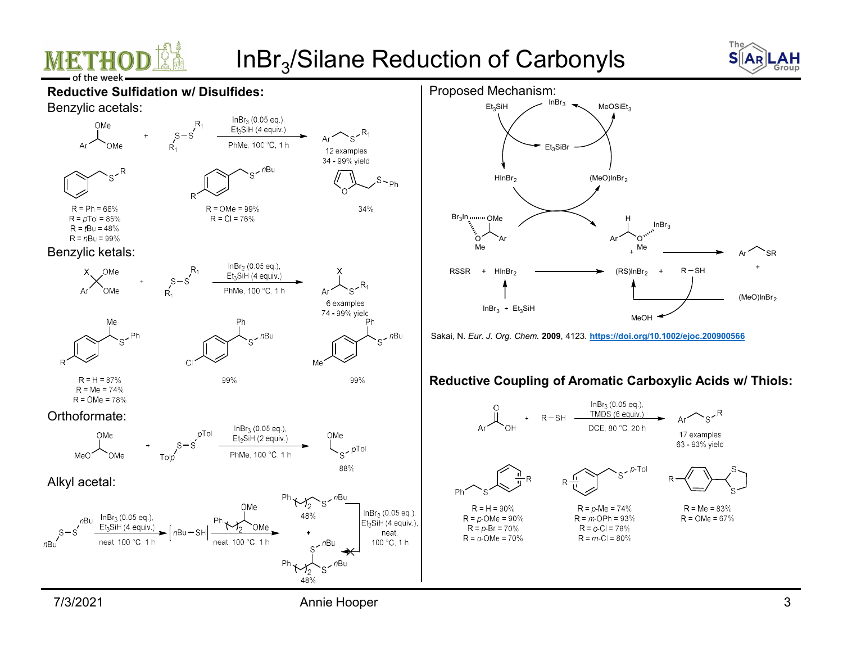



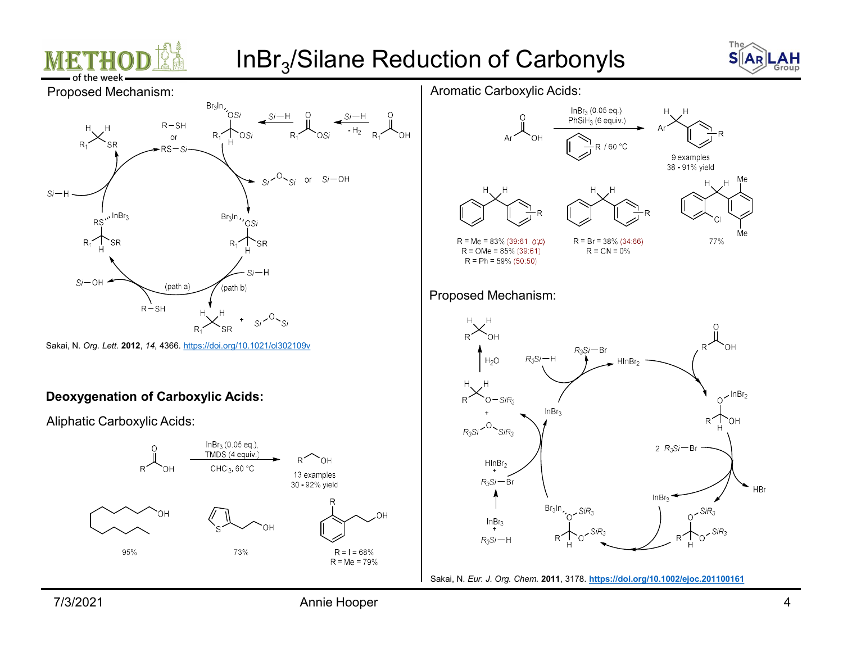